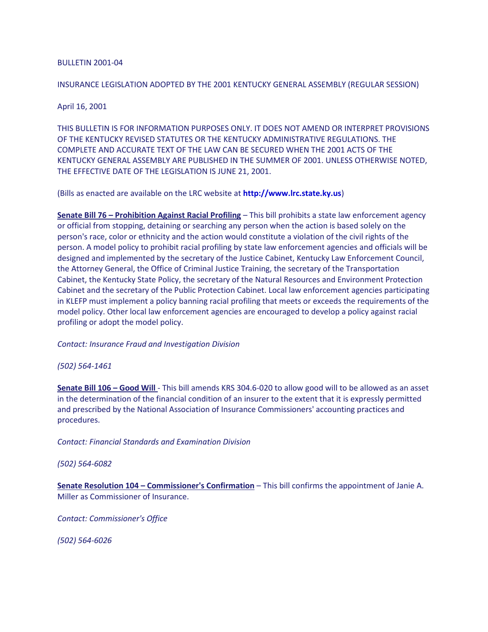### BULLETIN 2001-04

# INSURANCE LEGISLATION ADOPTED BY THE 2001 KENTUCKY GENERAL ASSEMBLY (REGULAR SESSION)

# April 16, 2001

THIS BULLETIN IS FOR INFORMATION PURPOSES ONLY. IT DOES NOT AMEND OR INTERPRET PROVISIONS OF THE KENTUCKY REVISED STATUTES OR THE KENTUCKY ADMINISTRATIVE REGULATIONS. THE COMPLETE AND ACCURATE TEXT OF THE LAW CAN BE SECURED WHEN THE 2001 ACTS OF THE KENTUCKY GENERAL ASSEMBLY ARE PUBLISHED IN THE SUMMER OF 2001. UNLESS OTHERWISE NOTED, THE EFFECTIVE DATE OF THE LEGISLATION IS JUNE 21, 2001.

(Bills as enacted are available on the LRC website at **[http://www.lrc.state.ky.us](http://doi.ppr.ky.gov/kentucky/outside.asp?urlstr=%22http://www.lrc.state.ky.us/%22)**)

**Senate Bill 76 – Prohibition Against Racial Profiling** – This bill prohibits a state law enforcement agency or official from stopping, detaining or searching any person when the action is based solely on the person's race, color or ethnicity and the action would constitute a violation of the civil rights of the person. A model policy to prohibit racial profiling by state law enforcement agencies and officials will be designed and implemented by the secretary of the Justice Cabinet, Kentucky Law Enforcement Council, the Attorney General, the Office of Criminal Justice Training, the secretary of the Transportation Cabinet, the Kentucky State Policy, the secretary of the Natural Resources and Environment Protection Cabinet and the secretary of the Public Protection Cabinet. Local law enforcement agencies participating in KLEFP must implement a policy banning racial profiling that meets or exceeds the requirements of the model policy. Other local law enforcement agencies are encouraged to develop a policy against racial profiling or adopt the model policy.

*Contact: Insurance Fraud and Investigation Division*

*(502) 564-1461*

**Senate Bill 106 – Good Will** - This bill amends KRS 304.6-020 to allow good will to be allowed as an asset in the determination of the financial condition of an insurer to the extent that it is expressly permitted and prescribed by the National Association of Insurance Commissioners' accounting practices and procedures.

*Contact: Financial Standards and Examination Division*

*(502) 564-6082*

**Senate Resolution 104 – Commissioner's Confirmation** – This bill confirms the appointment of Janie A. Miller as Commissioner of Insurance.

*Contact: Commissioner's Office*

*(502) 564-6026*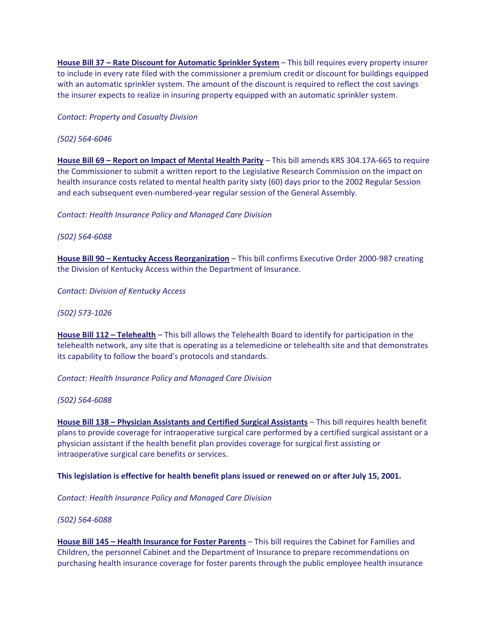**House Bill 37 – Rate Discount for Automatic Sprinkler System** – This bill requires every property insurer to include in every rate filed with the commissioner a premium credit or discount for buildings equipped with an automatic sprinkler system. The amount of the discount is required to reflect the cost savings the insurer expects to realize in insuring property equipped with an automatic sprinkler system.

*Contact: Property and Casualty Division*

## *(502) 564-6046*

**House Bill 69 – Report on Impact of Mental Health Parity** – This bill amends KRS 304.17A-665 to require the Commissioner to submit a written report to the Legislative Research Commission on the impact on health insurance costs related to mental health parity sixty (60) days prior to the 2002 Regular Session and each subsequent even-numbered-year regular session of the General Assembly.

*Contact: Health Insurance Policy and Managed Care Division*

*(502) 564-6088*

**House Bill 90 – Kentucky Access Reorganization** – This bill confirms Executive Order 2000-987 creating the Division of Kentucky Access within the Department of Insurance.

*Contact: Division of Kentucky Access*

*(502) 573-1026*

**House Bill 112 – Telehealth** – This bill allows the Telehealth Board to identify for participation in the telehealth network, any site that is operating as a telemedicine or telehealth site and that demonstrates its capability to follow the board's protocols and standards.

*Contact: Health Insurance Policy and Managed Care Division*

*(502) 564-6088*

**House Bill 138 – Physician Assistants and Certified Surgical Assistants** – This bill requires health benefit plans to provide coverage for intraoperative surgical care performed by a certified surgical assistant or a physician assistant if the health benefit plan provides coverage for surgical first assisting or intraoperative surgical care benefits or services.

### **This legislation is effective for health benefit plans issued or renewed on or after July 15, 2001.**

*Contact: Health Insurance Policy and Managed Care Division*

*(502) 564-6088*

**House Bill 145 – Health Insurance for Foster Parents** – This bill requires the Cabinet for Families and Children, the personnel Cabinet and the Department of Insurance to prepare recommendations on purchasing health insurance coverage for foster parents through the public employee health insurance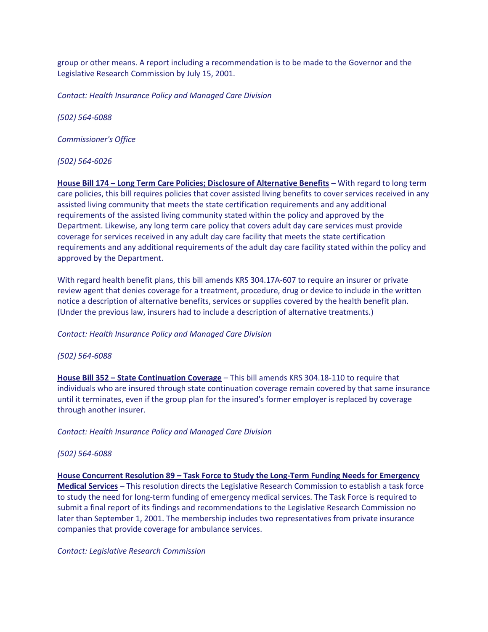group or other means. A report including a recommendation is to be made to the Governor and the Legislative Research Commission by July 15, 2001.

*Contact: Health Insurance Policy and Managed Care Division*

*(502) 564-6088*

*Commissioner's Office*

*(502) 564-6026*

**House Bill 174 – Long Term Care Policies; Disclosure of Alternative Benefits** – With regard to long term care policies, this bill requires policies that cover assisted living benefits to cover services received in any assisted living community that meets the state certification requirements and any additional requirements of the assisted living community stated within the policy and approved by the Department. Likewise, any long term care policy that covers adult day care services must provide coverage for services received in any adult day care facility that meets the state certification requirements and any additional requirements of the adult day care facility stated within the policy and approved by the Department.

With regard health benefit plans, this bill amends KRS 304.17A-607 to require an insurer or private review agent that denies coverage for a treatment, procedure, drug or device to include in the written notice a description of alternative benefits, services or supplies covered by the health benefit plan. (Under the previous law, insurers had to include a description of alternative treatments.)

*Contact: Health Insurance Policy and Managed Care Division*

### *(502) 564-6088*

**House Bill 352 – State Continuation Coverage** – This bill amends KRS 304.18-110 to require that individuals who are insured through state continuation coverage remain covered by that same insurance until it terminates, even if the group plan for the insured's former employer is replaced by coverage through another insurer.

*Contact: Health Insurance Policy and Managed Care Division*

### *(502) 564-6088*

**House Concurrent Resolution 89 – Task Force to Study the Long-Term Funding Needs for Emergency Medical Services** – This resolution directs the Legislative Research Commission to establish a task force to study the need for long-term funding of emergency medical services. The Task Force is required to submit a final report of its findings and recommendations to the Legislative Research Commission no later than September 1, 2001. The membership includes two representatives from private insurance companies that provide coverage for ambulance services.

*Contact: Legislative Research Commission*